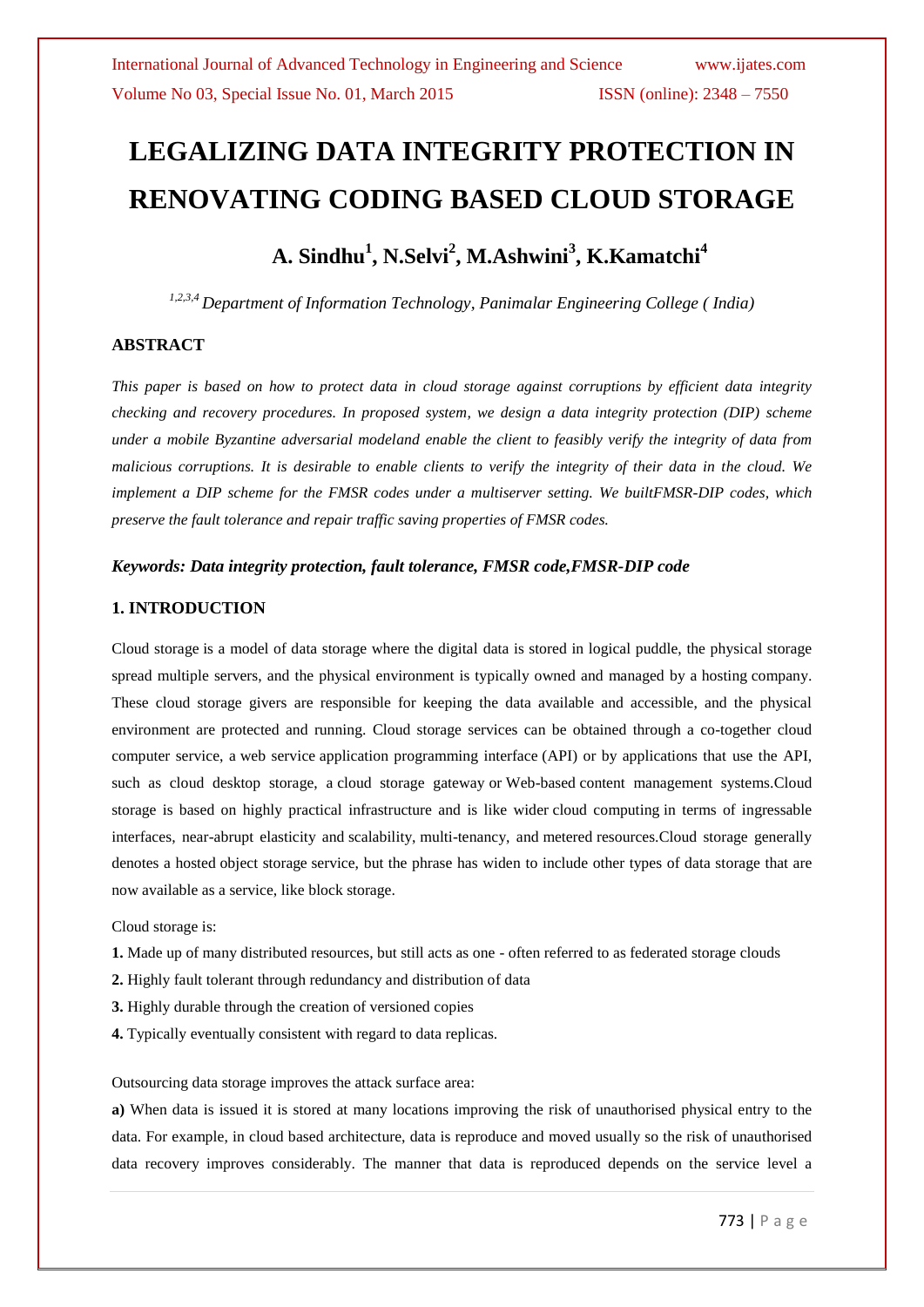# **LEGALIZING DATA INTEGRITY PROTECTION IN RENOVATING CODING BASED CLOUD STORAGE**

# **A. Sindhu<sup>1</sup> , N.Selvi<sup>2</sup> , M.Ashwini<sup>3</sup> , K.Kamatchi<sup>4</sup>**

*1,2,3,4 Department of Information Technology, Panimalar Engineering College ( India)*

#### **ABSTRACT**

*This paper is based on how to protect data in cloud storage against corruptions by efficient data integrity checking and recovery procedures. In proposed system, we design a data integrity protection (DIP) scheme under a mobile Byzantine adversarial modeland enable the client to feasibly verify the integrity of data from malicious corruptions. It is desirable to enable clients to verify the integrity of their data in the cloud. We implement a DIP scheme for the FMSR codes under a multiserver setting. We builtFMSR-DIP codes, which preserve the fault tolerance and repair traffic saving properties of FMSR codes.*

#### *Keywords: Data integrity protection, fault tolerance, FMSR code,FMSR-DIP code*

#### **1. INTRODUCTION**

Cloud storage is a model of data storage where the digital data is stored in logical puddle, the physical storage spread multiple servers, and the physical environment is typically owned and managed by a [hosting](http://en.wikipedia.org/wiki/Internet_hosting_service) company. These cloud storage givers are responsible for keeping the data available and accessible, and the physical environment are protected and running. Cloud storage services can be obtained through a co-together cloud computer service, a [web service](http://en.wikipedia.org/wiki/Web_service) [application programming interface](http://en.wikipedia.org/wiki/Application_programming_interface) (API) or by applications that use the API, such as cloud desktop storage, a [cloud storage gateway](http://en.wikipedia.org/wiki/Cloud_storage_gateway) or [Web-](http://en.wikipedia.org/wiki/World_Wide_Web)based [content management systems.C](http://en.wikipedia.org/wiki/Content_management_systems)loud storage is based on highly practical infrastructure and is like wider [cloud computing](http://en.wikipedia.org/wiki/Cloud_computing) in terms of ingressable interfaces, near-abrupt elasticity and [scalability,](http://en.wikipedia.org/wiki/Scalability) [multi-tenancy,](http://en.wikipedia.org/wiki/Multi-tenancy) and [metered](http://en.wikipedia.org/wiki/Metered) resources.Cloud storage generally denotes a hosted [object storage](http://en.wikipedia.org/wiki/Object_storage) service, but the phrase has widen to include other types of data storage that are now available as a service, like block storage.

Cloud storage is:

**1.** Made up of many distributed resources, but still acts as one - often referred to as federated storage clouds

**2.** Highly fault tolerant through redundancy and distribution of data

**3.** Highly durable through the creation of versioned copies

**4.** Typically [eventually consistent](http://en.wikipedia.org/wiki/Eventual_consistency) with regard to data replicas.

[Outsourcing](http://en.wikipedia.org/wiki/Outsourcing) data storage improves the [attack surface area:](http://en.wikipedia.org/wiki/Attack_surface)

**a)** When data is issued it is stored at many locations improving the risk of unauthorised physical entry to the data. For example, in cloud based architecture, data is reproduce and moved usually so the risk of unauthorised data recovery improves considerably. The manner that data is reproduced depends on the service level a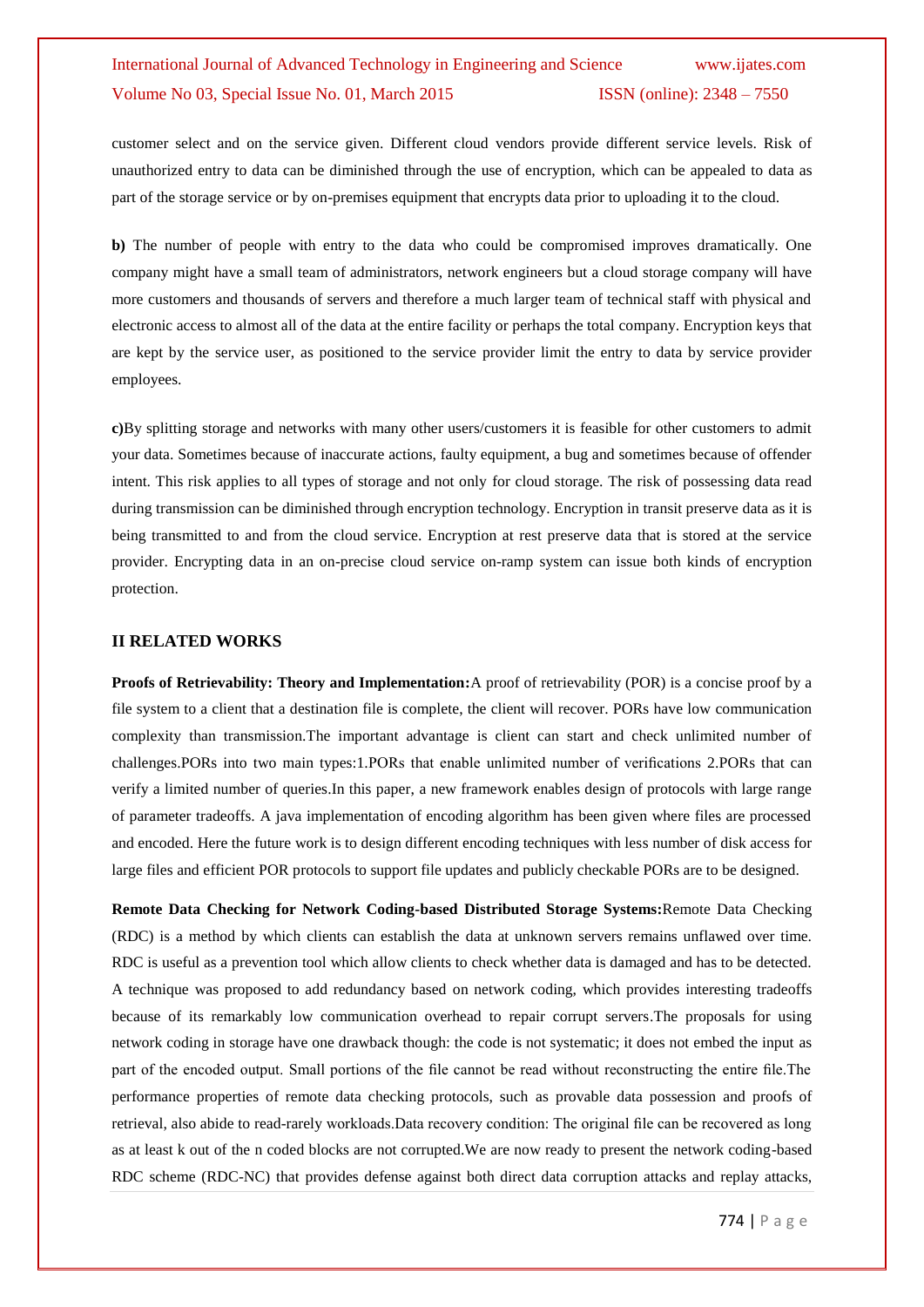customer select and on the service given. Different cloud vendors provide different service levels. Risk of unauthorized entry to data can be diminished through the use of encryption, which can be appealed to data as part of the storage service or by on-premises equipment that encrypts data prior to uploading it to the cloud.

**b)** The number of people with entry to the data who could be compromised improves dramatically. One company might have a small team of administrators, network engineers but a cloud storage company will have more customers and thousands of servers and therefore a much larger team of technical staff with physical and electronic access to almost all of the data at the entire facility or perhaps the total company. Encryption keys that are kept by the service user, as positioned to the service provider limit the entry to data by service provider employees.

**c)**By splitting storage and networks with many other users/customers it is feasible for other customers to admit your data. Sometimes because of inaccurate actions, faulty equipment, a bug and sometimes because of offender intent. This risk applies to all types of storage and not only for cloud storage. The risk of possessing data read during transmission can be diminished through encryption technology. Encryption in transit preserve data as it is being transmitted to and from the cloud service. Encryption at rest preserve data that is stored at the service provider. Encrypting data in an on-precise cloud service on-ramp system can issue both kinds of encryption protection.

#### **II RELATED WORKS**

**Proofs of Retrievability: Theory and Implementation:**A proof of retrievability (POR) is a concise proof by a file system to a client that a destination file is complete, the client will recover. PORs have low communication complexity than transmission.The important advantage is client can start and check unlimited number of challenges.PORs into two main types:1.PORs that enable unlimited number of verifications 2.PORs that can verify a limited number of queries.In this paper, a new framework enables design of protocols with large range of parameter tradeoffs. A java implementation of encoding algorithm has been given where files are processed and encoded. Here the future work is to design different encoding techniques with less number of disk access for large files and efficient POR protocols to support file updates and publicly checkable PORs are to be designed.

**Remote Data Checking for Network Coding-based Distributed Storage Systems:**Remote Data Checking (RDC) is a method by which clients can establish the data at unknown servers remains unflawed over time. RDC is useful as a prevention tool which allow clients to check whether data is damaged and has to be detected. A technique was proposed to add redundancy based on network coding, which provides interesting tradeoffs because of its remarkably low communication overhead to repair corrupt servers.The proposals for using network coding in storage have one drawback though: the code is not systematic; it does not embed the input as part of the encoded output. Small portions of the file cannot be read without reconstructing the entire file.The performance properties of remote data checking protocols, such as provable data possession and proofs of retrieval, also abide to read-rarely workloads.Data recovery condition: The original file can be recovered as long as at least k out of the n coded blocks are not corrupted.We are now ready to present the network coding-based RDC scheme (RDC-NC) that provides defense against both direct data corruption attacks and replay attacks,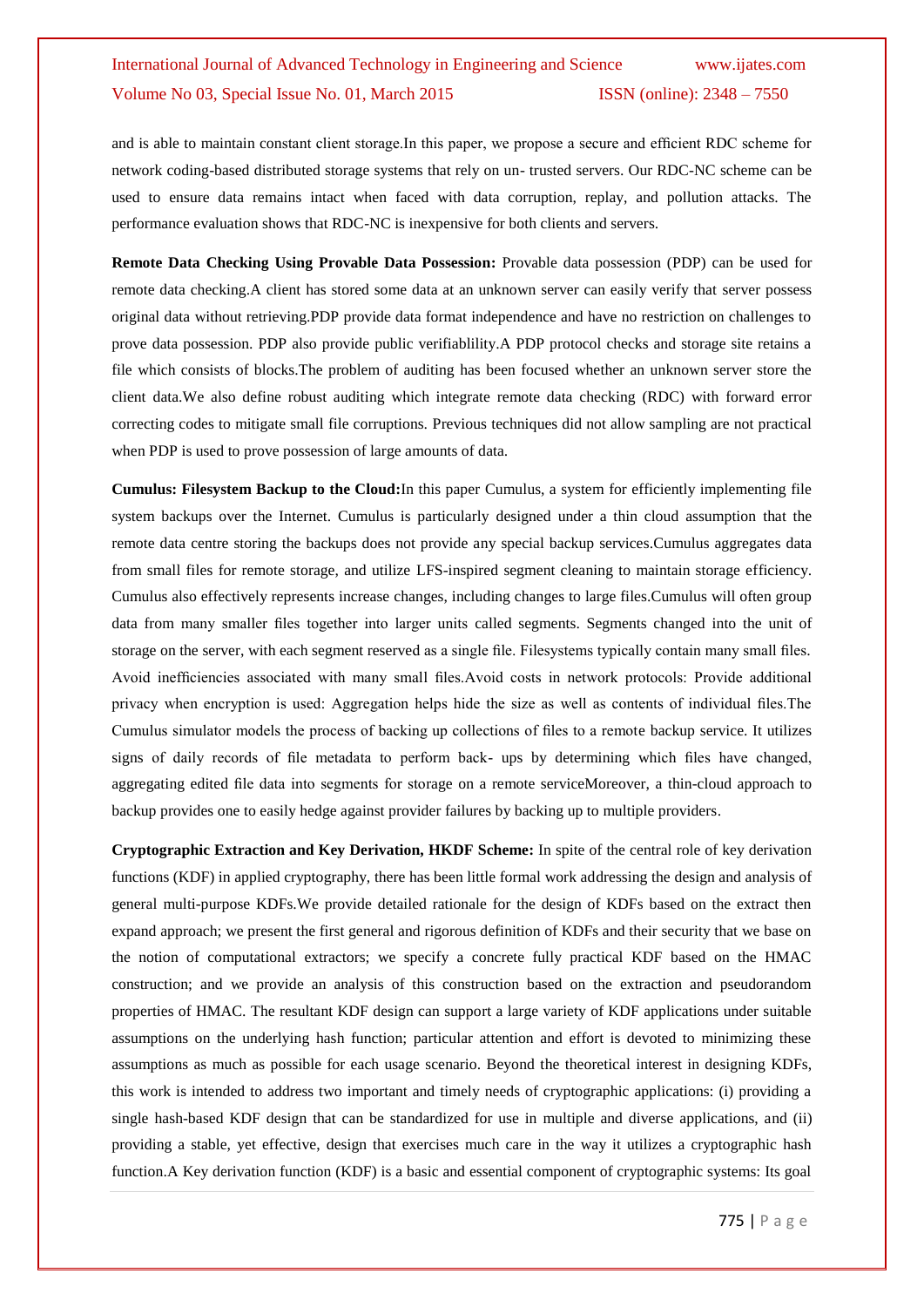and is able to maintain constant client storage.In this paper, we propose a secure and efficient RDC scheme for network coding-based distributed storage systems that rely on un- trusted servers. Our RDC-NC scheme can be used to ensure data remains intact when faced with data corruption, replay, and pollution attacks. The performance evaluation shows that RDC-NC is inexpensive for both clients and servers.

**Remote Data Checking Using Provable Data Possession:** Provable data possession (PDP) can be used for remote data checking.A client has stored some data at an unknown server can easily verify that server possess original data without retrieving.PDP provide data format independence and have no restriction on challenges to prove data possession. PDP also provide public verifiablility.A PDP protocol checks and storage site retains a file which consists of blocks.The problem of auditing has been focused whether an unknown server store the client data.We also define robust auditing which integrate remote data checking (RDC) with forward error correcting codes to mitigate small file corruptions. Previous techniques did not allow sampling are not practical when PDP is used to prove possession of large amounts of data.

**Cumulus: Filesystem Backup to the Cloud:**In this paper Cumulus, a system for efficiently implementing file system backups over the Internet. Cumulus is particularly designed under a thin cloud assumption that the remote data centre storing the backups does not provide any special backup services.Cumulus aggregates data from small files for remote storage, and utilize LFS-inspired segment cleaning to maintain storage efficiency. Cumulus also effectively represents increase changes, including changes to large files.Cumulus will often group data from many smaller files together into larger units called segments. Segments changed into the unit of storage on the server, with each segment reserved as a single file. Filesystems typically contain many small files. Avoid inefficiencies associated with many small files.Avoid costs in network protocols: Provide additional privacy when encryption is used: Aggregation helps hide the size as well as contents of individual files.The Cumulus simulator models the process of backing up collections of files to a remote backup service. It utilizes signs of daily records of file metadata to perform back- ups by determining which files have changed, aggregating edited file data into segments for storage on a remote serviceMoreover, a thin-cloud approach to backup provides one to easily hedge against provider failures by backing up to multiple providers.

**Cryptographic Extraction and Key Derivation, HKDF Scheme:** In spite of the central role of key derivation functions (KDF) in applied cryptography, there has been little formal work addressing the design and analysis of general multi-purpose KDFs.We provide detailed rationale for the design of KDFs based on the extract then expand approach; we present the first general and rigorous definition of KDFs and their security that we base on the notion of computational extractors; we specify a concrete fully practical KDF based on the HMAC construction; and we provide an analysis of this construction based on the extraction and pseudorandom properties of HMAC. The resultant KDF design can support a large variety of KDF applications under suitable assumptions on the underlying hash function; particular attention and effort is devoted to minimizing these assumptions as much as possible for each usage scenario. Beyond the theoretical interest in designing KDFs, this work is intended to address two important and timely needs of cryptographic applications: (i) providing a single hash-based KDF design that can be standardized for use in multiple and diverse applications, and (ii) providing a stable, yet effective, design that exercises much care in the way it utilizes a cryptographic hash function.A Key derivation function (KDF) is a basic and essential component of cryptographic systems: Its goal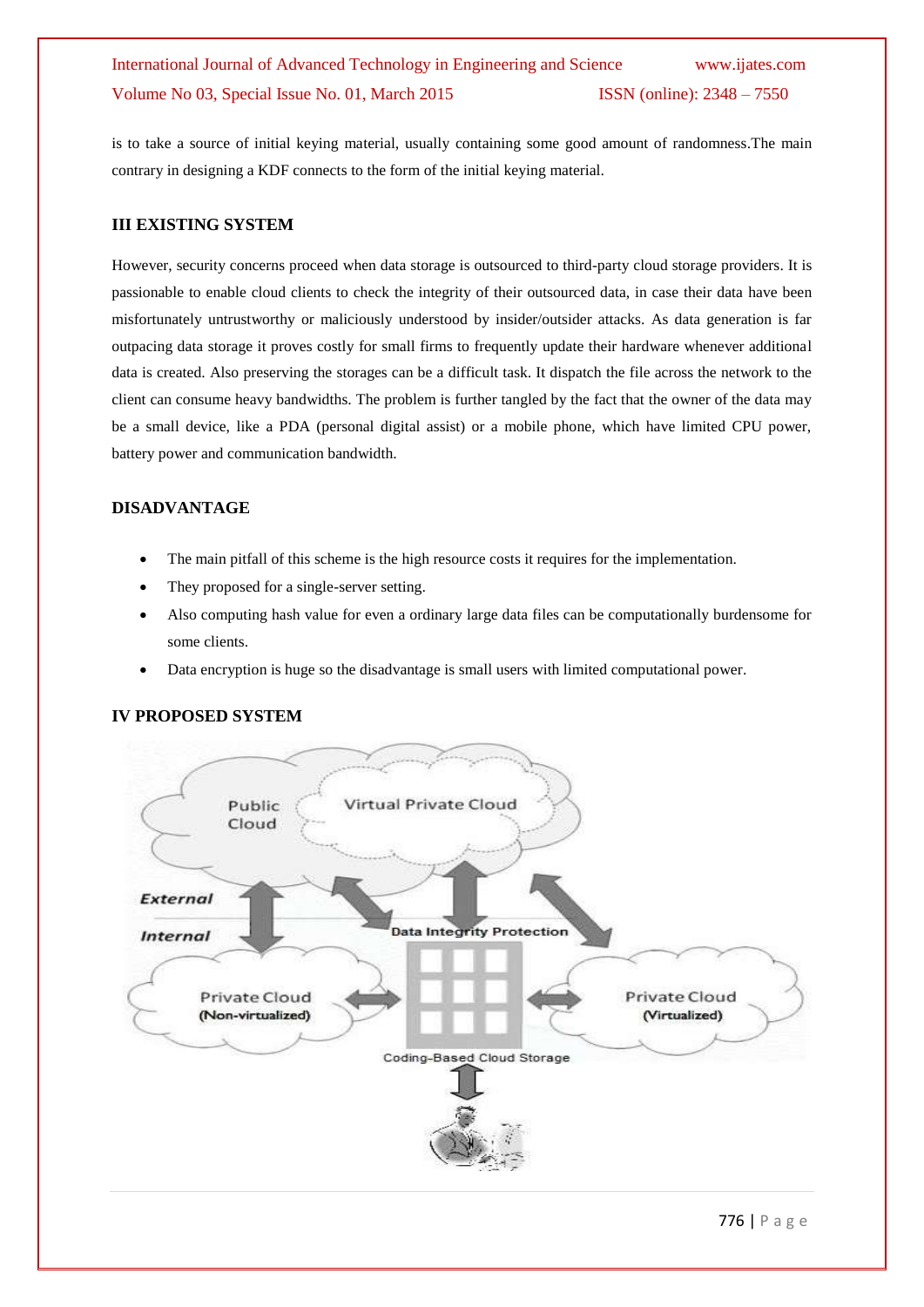is to take a source of initial keying material, usually containing some good amount of randomness.The main contrary in designing a KDF connects to the form of the initial keying material.

#### **III EXISTING SYSTEM**

However, security concerns proceed when data storage is outsourced to third-party cloud storage providers. It is passionable to enable cloud clients to check the integrity of their outsourced data, in case their data have been misfortunately untrustworthy or maliciously understood by insider/outsider attacks. As data generation is far outpacing data storage it proves costly for small firms to frequently update their hardware whenever additional data is created. Also preserving the storages can be a difficult task. It dispatch the file across the network to the client can consume heavy bandwidths. The problem is further tangled by the fact that the owner of the data may be a small device, like a PDA (personal digital assist) or a mobile phone, which have limited CPU power, battery power and communication bandwidth.

#### **DISADVANTAGE**

- The main pitfall of this scheme is the high resource costs it requires for the implementation.
- They proposed for a single-server setting.
- Also computing hash value for even a ordinary large data files can be computationally burdensome for some clients.
- Data encryption is huge so the disadvantage is small users with limited computational power.

#### **IV PROPOSED SYSTEM**

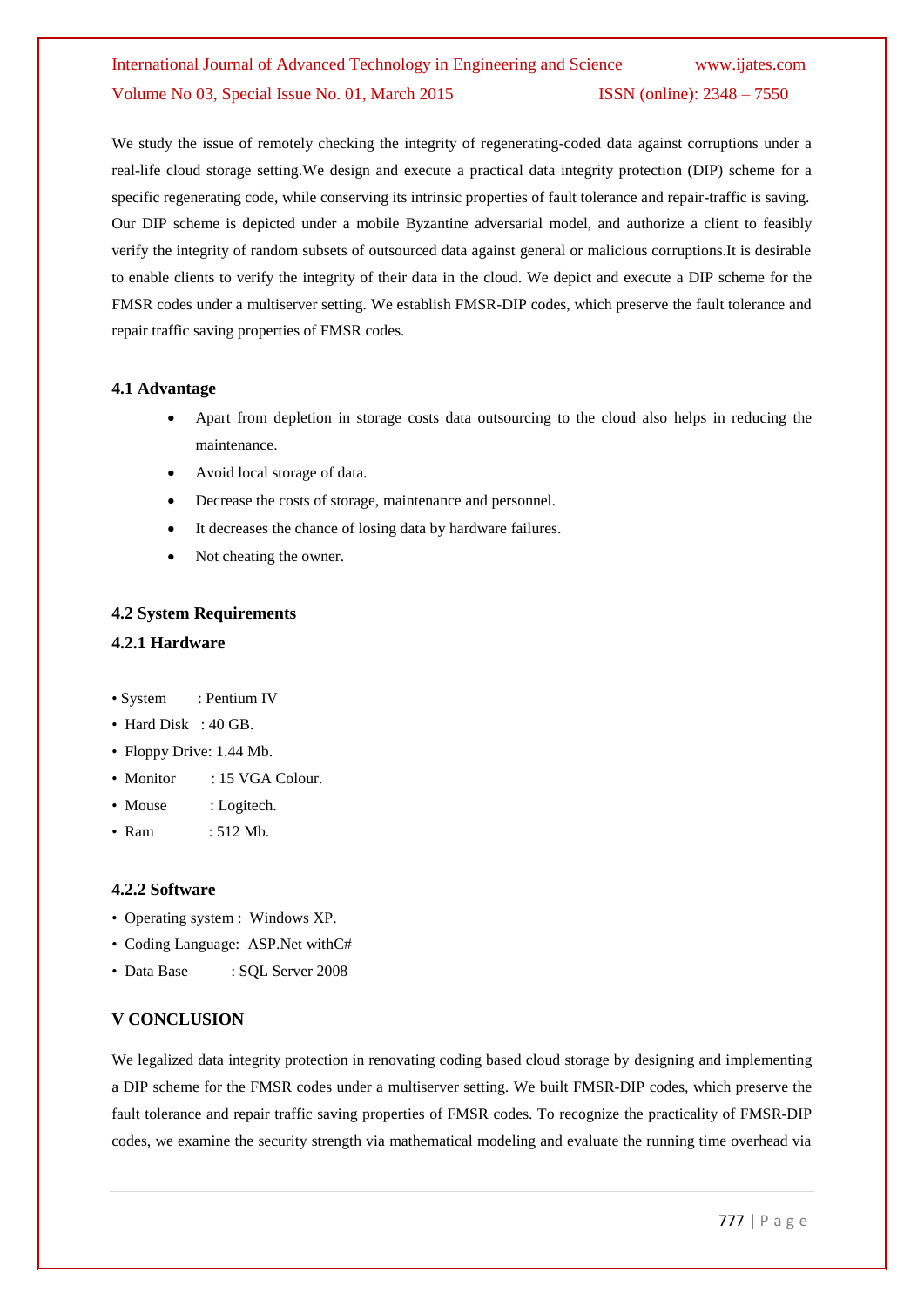We study the issue of remotely checking the integrity of regenerating-coded data against corruptions under a real-life cloud storage setting.We design and execute a practical data integrity protection (DIP) scheme for a specific regenerating code, while conserving its intrinsic properties of fault tolerance and repair-traffic is saving. Our DIP scheme is depicted under a mobile Byzantine adversarial model, and authorize a client to feasibly verify the integrity of random subsets of outsourced data against general or malicious corruptions.It is desirable to enable clients to verify the integrity of their data in the cloud. We depict and execute a DIP scheme for the FMSR codes under a multiserver setting. We establish FMSR-DIP codes, which preserve the fault tolerance and repair traffic saving properties of FMSR codes.

#### **4.1 Advantage**

- Apart from depletion in storage costs data outsourcing to the cloud also helps in reducing the maintenance.
- Avoid local storage of data.
- Decrease the costs of storage, maintenance and personnel.
- It decreases the chance of losing data by hardware failures.
- Not cheating the owner.

#### **4.2 System Requirements**

#### **4.2.1 Hardware**

- System : Pentium IV
- Hard Disk : 40 GB.
- Floppy Drive: 1.44 Mb.
- Monitor : 15 VGA Colour.
- Mouse : Logitech.
- Ram : 512 Mb.

#### **4.2.2 Software**

- Operating system : Windows XP.
- Coding Language: ASP.Net withC#
- Data Base : SOL Server 2008

#### **V CONCLUSION**

We legalized data integrity protection in renovating coding based cloud storage by designing and implementing a DIP scheme for the FMSR codes under a multiserver setting. We built FMSR-DIP codes, which preserve the fault tolerance and repair traffic saving properties of FMSR codes. To recognize the practicality of FMSR-DIP codes, we examine the security strength via mathematical modeling and evaluate the running time overhead via